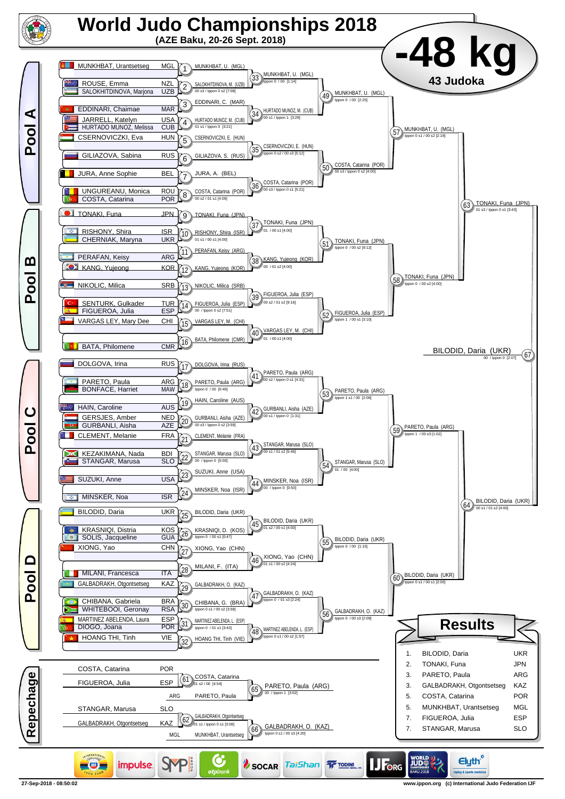

**27-Sep-2018 - 08:50:02 www.ippon.org (c) International Judo Federation IJF**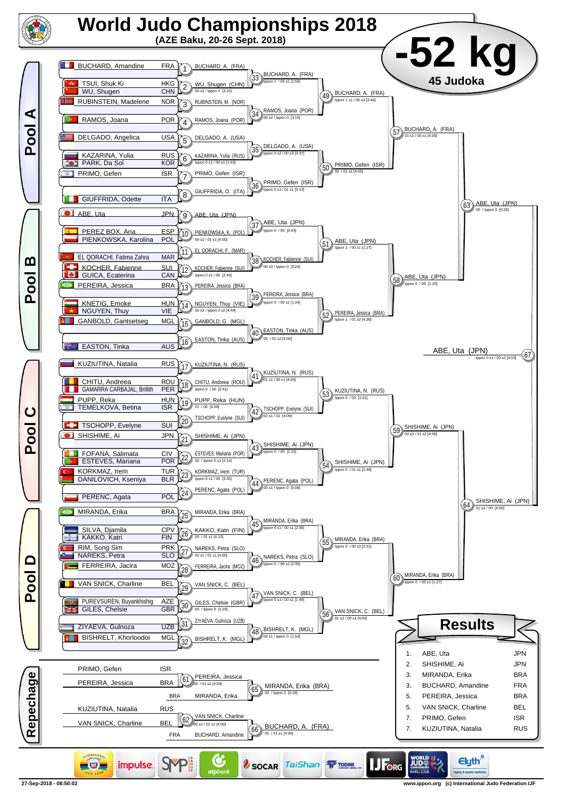

**<sup>27-</sup>Sep-2018 - 08:50:02 www.ippon.org (c) International Judo Federation IJF**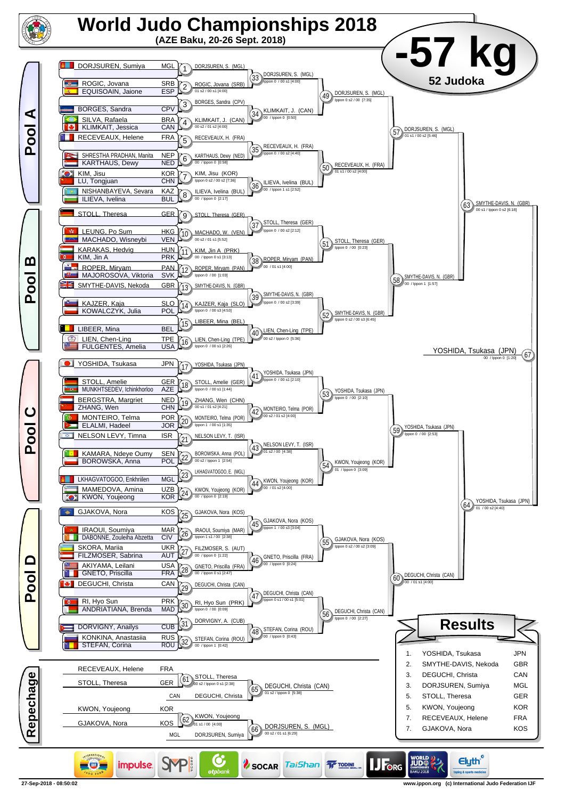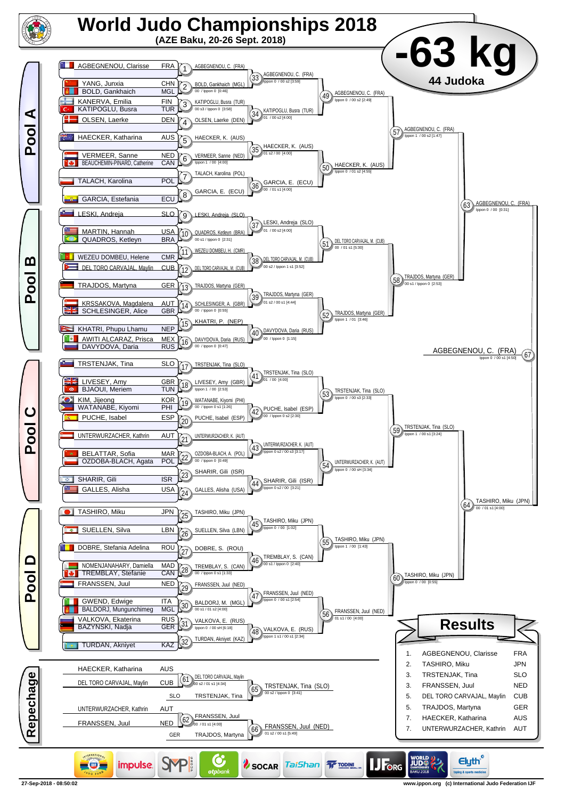

**27-Sep-2018 - 08:50:02 www.ippon.org (c) International Judo Federation IJF**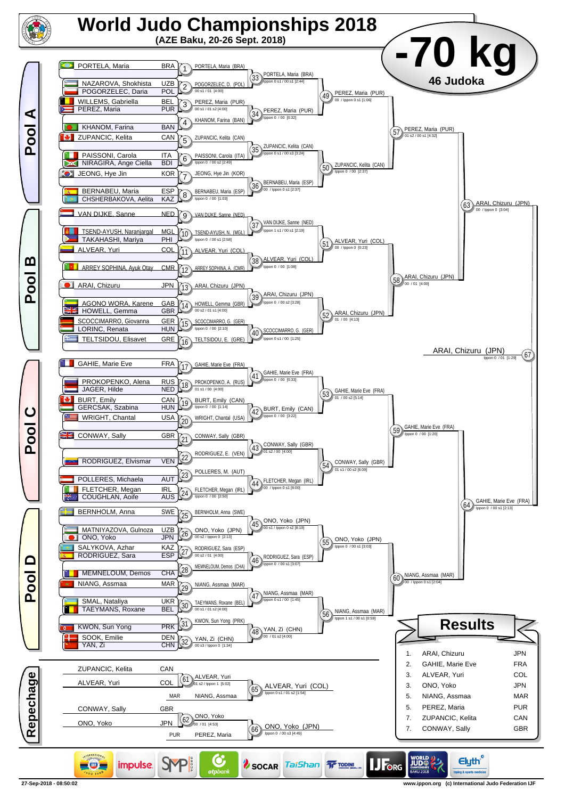

**27-Sep-2018 - 08:50:02 www.ippon.org (c) International Judo Federation IJF**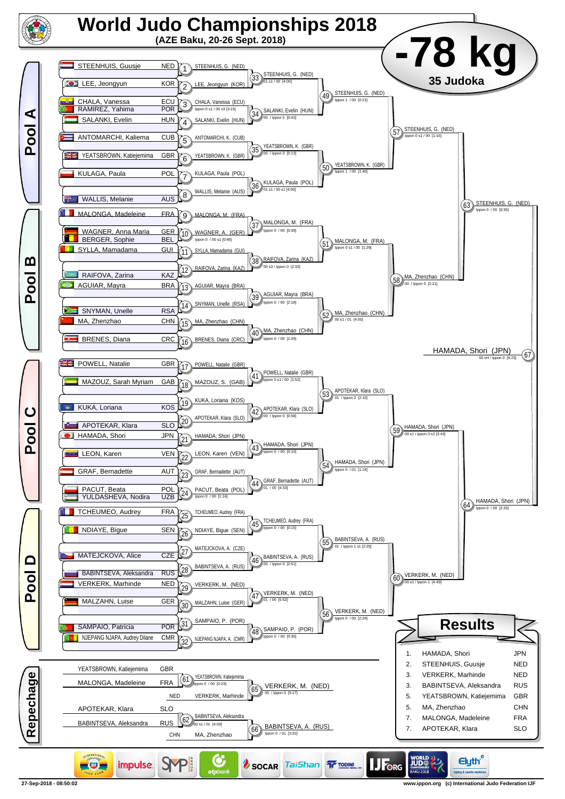